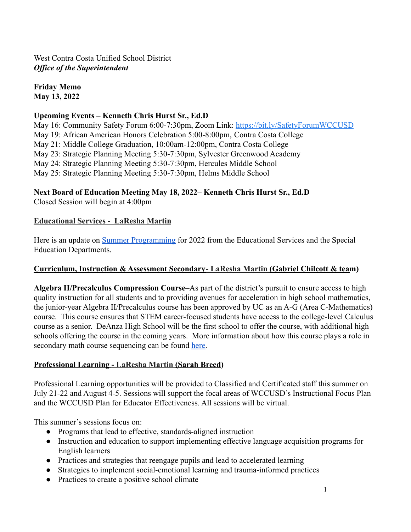**Friday Memo May 13, 2022**

## **Upcoming Events – Kenneth Chris Hurst Sr., Ed.D**

May 16: Community Safety Forum 6:00-7:30pm, Zoom Link: <https://bit.ly/SafetyForumWCCUSD> May 19: African American Honors Celebration 5:00-8:00pm, Contra Costa College May 21: Middle College Graduation, 10:00am-12:00pm, Contra Costa College May 23: Strategic Planning Meeting 5:30-7:30pm, Sylvester Greenwood Academy May 24: Strategic Planning Meeting 5:30-7:30pm, Hercules Middle School May 25: Strategic Planning Meeting 5:30-7:30pm, Helms Middle School

# **Next Board of Education Meeting May 18, 2022– Kenneth Chris Hurst Sr., Ed.D**

Closed Session will begin at 4:00pm

## **Educational Services - LaResha Martin**

Here is an update on [Summer Programming](https://drive.google.com/file/d/1KXYnAVc5MaKtrV8gec5Sy5BRx5Vry50O/view?usp=sharing) for 2022 from the Educational Services and the Special Education Departments.

## **Curriculum, Instruction & Assessment Secondary- LaResha Martin (Gabriel Chilcott & team)**

**Algebra II/Precalculus Compression Course**–As part of the district's pursuit to ensure access to high quality instruction for all students and to providing avenues for acceleration in high school mathematics, the junior-year Algebra II/Precalculus course has been approved by UC as an A-G (Area C-Mathematics) course. This course ensures that STEM career-focused students have access to the college-level Calculus course as a senior. DeAnza High School will be the first school to offer the course, with additional high schools offering the course in the coming years. More information about how this course plays a role in secondary math course sequencing can be found [here.](https://www.wccusd.net/Page/11737)

## **Professional Learning - LaResha Martin (Sarah Breed)**

Professional Learning opportunities will be provided to Classified and Certificated staff this summer on July 21-22 and August 4-5. Sessions will support the focal areas of WCCUSD's Instructional Focus Plan and the WCCUSD Plan for Educator Effectiveness. All sessions will be virtual.

This summer's sessions focus on:

- Programs that lead to effective, standards-aligned instruction
- Instruction and education to support implementing effective language acquisition programs for English learners
- Practices and strategies that reengage pupils and lead to accelerated learning
- Strategies to implement social-emotional learning and trauma-informed practices
- Practices to create a positive school climate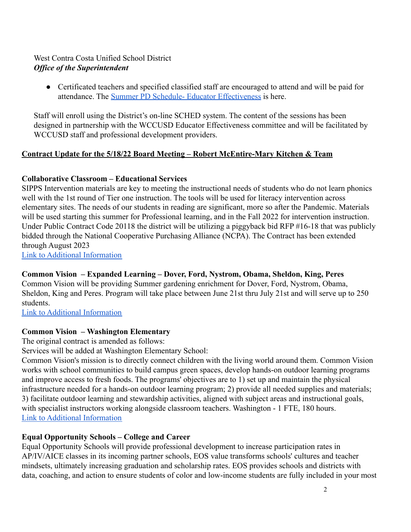• Certificated teachers and specified classified staff are encouraged to attend and will be paid for attendance. The [Summer PD Schedule- Educator Effectiveness](https://drive.google.com/file/d/1_aW80IwxOfpdB_sTMCWWULajeyBTEaBe/view?usp=sharing) is here.

Staff will enroll using the District's on-line SCHED system. The content of the sessions has been designed in partnership with the WCCUSD Educator Effectiveness committee and will be facilitated by WCCUSD staff and professional development providers.

## **Contract Update for the 5/18/22 Board Meeting – Robert McEntire-Mary Kitchen & Team**

## **Collaborative Classroom – Educational Services**

SIPPS Intervention materials are key to meeting the instructional needs of students who do not learn phonics well with the 1st round of Tier one instruction. The tools will be used for literacy intervention across elementary sites. The needs of our students in reading are significant, more so after the Pandemic. Materials will be used starting this summer for Professional learning, and in the Fall 2022 for intervention instruction. Under Public Contract Code 20118 the district will be utilizing a piggyback bid RFP #16-18 that was publicly bidded through the National Cooperative Purchasing Alliance (NCPA). The Contract has been extended through August 2023 [Link to Additional Information](https://drive.google.com/file/d/1RMeHl6Q2xQx2EPdMphVhFixfOnJrf1OR/view?usp=sharing)

#### **Common Vision – Expanded Learning – Dover, Ford, Nystrom, Obama, Sheldon, King, Peres**

Common Vision will be providing Summer gardening enrichment for Dover, Ford, Nystrom, Obama, Sheldon, King and Peres. Program will take place between June 21st thru July 21st and will serve up to 250 students.

[Link to Additional Information](https://drive.google.com/file/d/1P2hlksyHnJF22ndMtDSzK3Rgp8xdbrtt/view?usp=sharing)

#### **Common Vision – Washington Elementary**

The original contract is amended as follows:

Services will be added at Washington Elementary School:

Common Vision's mission is to directly connect children with the living world around them. Common Vision works with school communities to build campus green spaces, develop hands-on outdoor learning programs and improve access to fresh foods. The programs' objectives are to 1) set up and maintain the physical infrastructure needed for a hands-on outdoor learning program; 2) provide all needed supplies and materials; 3) facilitate outdoor learning and stewardship activities, aligned with subject areas and instructional goals, with specialist instructors working alongside classroom teachers. Washington - 1 FTE, 180 hours. [Link to Additional Information](https://drive.google.com/file/d/1P5UgXnn28f6gqNsZO7d3CRukUWRu6pj2/view?usp=sharing)

## **Equal Opportunity Schools – College and Career**

Equal Opportunity Schools will provide professional development to increase participation rates in AP/IV/AICE classes in its incoming partner schools, EOS value transforms schools' cultures and teacher mindsets, ultimately increasing graduation and scholarship rates. EOS provides schools and districts with data, coaching, and action to ensure students of color and low-income students are fully included in your most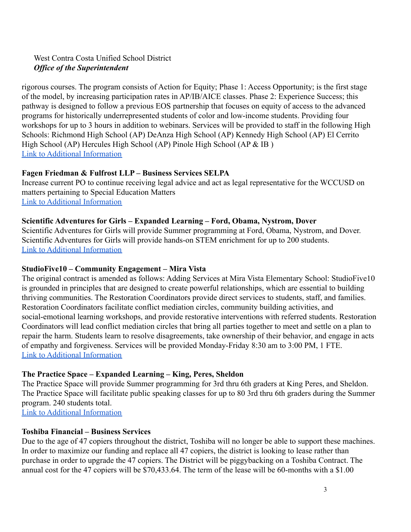rigorous courses. The program consists of Action for Equity; Phase 1: Access Opportunity; is the first stage of the model, by increasing participation rates in AP/IB/AICE classes. Phase 2: Experience Success; this pathway is designed to follow a previous EOS partnership that focuses on equity of access to the advanced programs for historically underrepresented students of color and low-income students. Providing four workshops for up to 3 hours in addition to webinars. Services will be provided to staff in the following High Schools: Richmond High School (AP) DeAnza High School (AP) Kennedy High School (AP) El Cerrito High School (AP) Hercules High School (AP) Pinole High School (AP & IB ) [Link to Additional Information](https://drive.google.com/file/d/1PUk3hZ5iM4oQUHP4O8o7fdAaFrZG0BGk/view?usp=sharing)

## **Fagen Friedman & Fulfrost LLP – Business Services SELPA**

Increase current PO to continue receiving legal advice and act as legal representative for the WCCUSD on matters pertaining to Special Education Matters [Link to Additional Information](https://drive.google.com/file/d/1RMrlrbe3Y3YjuElJexHQ8Jfmz6A7cjvY/view?usp=sharing)

## **Scientific Adventures for Girls – Expanded Learning – Ford, Obama, Nystrom, Dover**

Scientific Adventures for Girls will provide Summer programming at Ford, Obama, Nystrom, and Dover. Scientific Adventures for Girls will provide hands-on STEM enrichment for up to 200 students. [Link to Additional Information](https://drive.google.com/file/d/1RbMj1ZoH7P5fzCMsenqrrZeXO5WPiPZM/view?usp=sharing)

### **StudioFive10 – Community Engagement – Mira Vista**

The original contract is amended as follows: Adding Services at Mira Vista Elementary School: StudioFive10 is grounded in principles that are designed to create powerful relationships, which are essential to building thriving communities. The Restoration Coordinators provide direct services to students, staff, and families. Restoration Coordinators facilitate conflict mediation circles, community building activities, and social-emotional learning workshops, and provide restorative interventions with referred students. Restoration Coordinators will lead conflict mediation circles that bring all parties together to meet and settle on a plan to repair the harm. Students learn to resolve disagreements, take ownership of their behavior, and engage in acts of empathy and forgiveness. Services will be provided Monday-Friday 8:30 am to 3:00 PM, 1 FTE. [Link to Additional Information](https://drive.google.com/file/d/1PXjFWrw_wO9N6hp0NKjRVPe0hUUIBiA0/view?usp=sharing)

## **The Practice Space – Expanded Learning – King, Peres, Sheldon**

The Practice Space will provide Summer programming for 3rd thru 6th graders at King Peres, and Sheldon. The Practice Space will facilitate public speaking classes for up to 80 3rd thru 6th graders during the Summer program. 240 students total.

[Link to Additional Information](https://drive.google.com/file/d/1PIMHTHe_DWEURVSsMWK8z2lL-UKtb3hX/view?usp=sharing)

## **Toshiba Financial – Business Services**

Due to the age of 47 copiers throughout the district, Toshiba will no longer be able to support these machines. In order to maximize our funding and replace all 47 copiers, the district is looking to lease rather than purchase in order to upgrade the 47 copiers. The District will be piggybacking on a Toshiba Contract. The annual cost for the 47 copiers will be \$70,433.64. The term of the lease will be 60-months with a \$1.00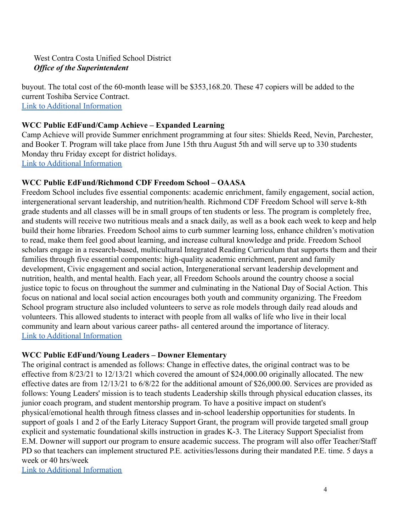buyout. The total cost of the 60-month lease will be \$353,168.20. These 47 copiers will be added to the current Toshiba Service Contract. [Link to Additional Information](https://drive.google.com/file/d/1PxGBrPLwywVFXhgooH2q8zQxIrfAuAST/view?usp=sharing)

### **WCC Public EdFund/Camp Achieve – Expanded Learning**

Camp Achieve will provide Summer enrichment programming at four sites: Shields Reed, Nevin, Parchester, and Booker T. Program will take place from June 15th thru August 5th and will serve up to 330 students Monday thru Friday except for district holidays. [Link to Additional Information](https://drive.google.com/file/d/1PN0lhVEDAH7JtDZ91Kxlrb2aM0Mg19ZK/view?usp=sharing)

## **WCC Public EdFund/Richmond CDF Freedom School – OAASA**

Freedom School includes five essential components: academic enrichment, family engagement, social action, intergenerational servant leadership, and nutrition/health. Richmond CDF Freedom School will serve k-8th grade students and all classes will be in small groups of ten students or less. The program is completely free, and students will receive two nutritious meals and a snack daily, as well as a book each week to keep and help build their home libraries. Freedom School aims to curb summer learning loss, enhance children's motivation to read, make them feel good about learning, and increase cultural knowledge and pride. Freedom School scholars engage in a research-based, multicultural Integrated Reading Curriculum that supports them and their families through five essential components: high-quality academic enrichment, parent and family development, Civic engagement and social action, Intergenerational servant leadership development and nutrition, health, and mental health. Each year, all Freedom Schools around the country choose a social justice topic to focus on throughout the summer and culminating in the National Day of Social Action. This focus on national and local social action encourages both youth and community organizing. The Freedom School program structure also included volunteers to serve as role models through daily read alouds and volunteers. This allowed students to interact with people from all walks of life who live in their local community and learn about various career paths- all centered around the importance of literacy. [Link to Additional Information](https://drive.google.com/file/d/1PJF46dgVzCInD-UMGtRXRmUxEKFTv1BJ/view?usp=sharing)

#### **WCC Public EdFund/Young Leaders – Downer Elementary**

The original contract is amended as follows: Change in effective dates, the original contract was to be effective from 8/23/21 to 12/13/21 which covered the amount of \$24,000.00 originally allocated. The new effective dates are from 12/13/21 to 6/8/22 for the additional amount of \$26,000.00. Services are provided as follows: Young Leaders' mission is to teach students Leadership skills through physical education classes, its junior coach program, and student mentorship program. To have a positive impact on student's physical/emotional health through fitness classes and in-school leadership opportunities for students. In support of goals 1 and 2 of the Early Literacy Support Grant, the program will provide targeted small group explicit and systematic foundational skills instruction in grades K-3. The Literacy Support Specialist from E.M. Downer will support our program to ensure academic success. The program will also offer Teacher/Staff PD so that teachers can implement structured P.E. activities/lessons during their mandated P.E. time. 5 days a week or 40 hrs/week

[Link to Additional Information](https://drive.google.com/file/d/1PKrH2gFWDzTvu3rILxkBMW29v-EDx1Qh/view?usp=sharing)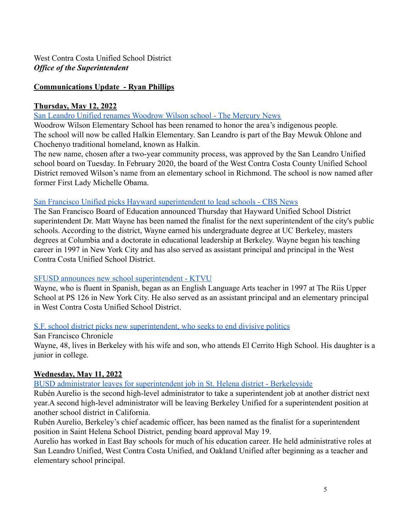## **Communications Update - Ryan Phillips**

#### **Thursday, May 12, 2022**

### [San Leandro Unified renames Woodrow Wilson school - The Mercury News](https://www.mercurynews.com/2022/05/12/san-leandro-unified-renames-woodrow-wilson-school/)

Woodrow Wilson Elementary School has been renamed to honor the area's indigenous people. The school will now be called Halkin Elementary. San Leandro is part of the Bay Mewuk Ohlone and Chochenyo traditional homeland, known as Halkin.

The new name, chosen after a two-year community process, was approved by the San Leandro Unified school board on Tuesday. In February 2020, the board of the West Contra Costa County Unified School District removed Wilson's name from an elementary school in Richmond. The school is now named after former First Lady Michelle Obama.

#### [San Francisco Unified picks Hayward superintendent to lead schools - CBS News](https://www.cbsnews.com/sanfrancisco/news/sfusd-new-superintendent-finalist-dr-matt-wayne/)

The San Francisco Board of Education announced Thursday that Hayward Unified School District superintendent Dr. Matt Wayne has been named the finalist for the next superintendent of the city's public schools. According to the district, Wayne earned his undergraduate degree at UC Berkeley, masters degrees at Columbia and a doctorate in educational leadership at Berkeley. Wayne began his teaching career in 1997 in New York City and has also served as assistant principal and principal in the West Contra Costa Unified School District.

#### [SFUSD announces new school superintendent - KTVU](https://www.ktvu.com/news/sfusd-announces-new-school-superintendent)

Wayne, who is fluent in Spanish, began as an English Language Arts teacher in 1997 at The Riis Upper School at PS 126 in New York City. He also served as an assistant principal and an elementary principal in West Contra Costa Unified School District.

#### [S.F. school district picks new superintendent, who seeks to end divisive politics](https://www.sfchronicle.com/sf/article/San-Francisco-school-district-picks-new-17168475.php)

San Francisco Chronicle Wayne, 48, lives in Berkeley with his wife and son, who attends El Cerrito High School. His daughter is a junior in college.

## **Wednesday, May 11, 2022**

[BUSD administrator leaves for superintendent job in St. Helena district - Berkeleyside](https://www.berkeleyside.org/2022/05/11/busd-administrator-leaves-for-superintendent-job-in-st-helena-district)

Rubén Aurelio is the second high-level administrator to take a superintendent job at another district next year.A second high-level administrator will be leaving Berkeley Unified for a superintendent position at another school district in California.

Rubén Aurelio, Berkeley's chief academic officer, has been named as the finalist for a superintendent position in Saint Helena School District, pending board approval May 19.

Aurelio has worked in East Bay schools for much of his education career. He held administrative roles at San Leandro Unified, West Contra Costa Unified, and Oakland Unified after beginning as a teacher and elementary school principal.